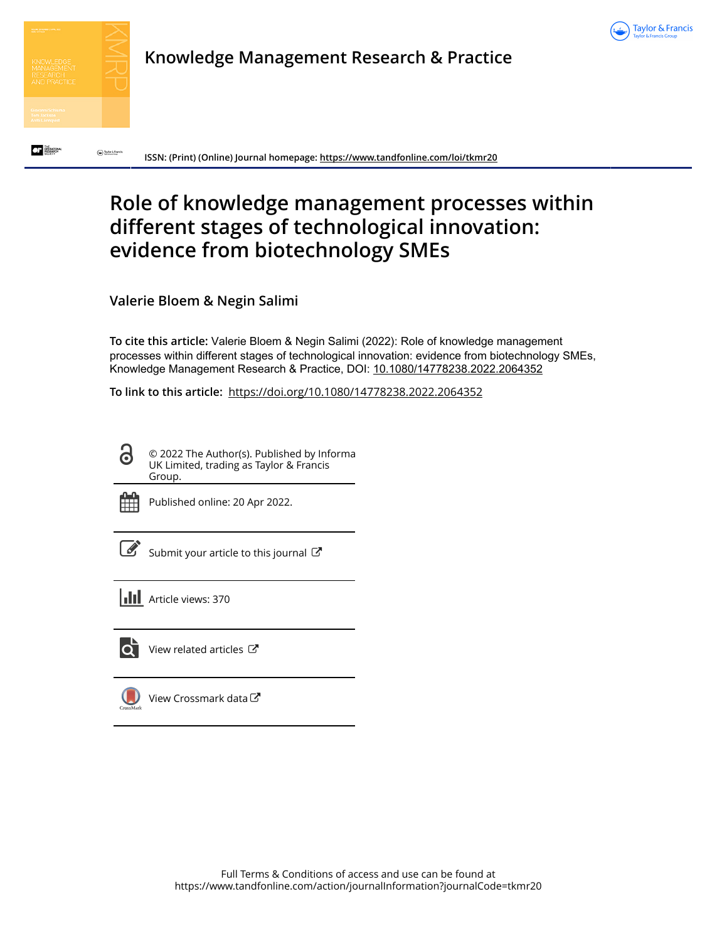



 $\bigodot$  Information

 $\overline{C}$  is the second  $\overline{C}$ 

**Knowledge Management Research & Practice**

**ISSN: (Print) (Online) Journal homepage:<https://www.tandfonline.com/loi/tkmr20>**

# **Role of knowledge management processes within different stages of technological innovation: evidence from biotechnology SMEs**

**Valerie Bloem & Negin Salimi**

**To cite this article:** Valerie Bloem & Negin Salimi (2022): Role of knowledge management processes within different stages of technological innovation: evidence from biotechnology SMEs, Knowledge Management Research & Practice, DOI: [10.1080/14778238.2022.2064352](https://www.tandfonline.com/action/showCitFormats?doi=10.1080/14778238.2022.2064352)

**To link to this article:** <https://doi.org/10.1080/14778238.2022.2064352>

© 2022 The Author(s). Published by Informa UK Limited, trading as Taylor & Francis Group.



Published online: 20 Apr 2022.

[Submit your article to this journal](https://www.tandfonline.com/action/authorSubmission?journalCode=tkmr20&show=instructions)  $\mathbb{Z}$ 

**III** Article views: 370



[View related articles](https://www.tandfonline.com/doi/mlt/10.1080/14778238.2022.2064352)  $\mathbb{Z}$ 

[View Crossmark data](http://crossmark.crossref.org/dialog/?doi=10.1080/14778238.2022.2064352&domain=pdf&date_stamp=2022-04-20)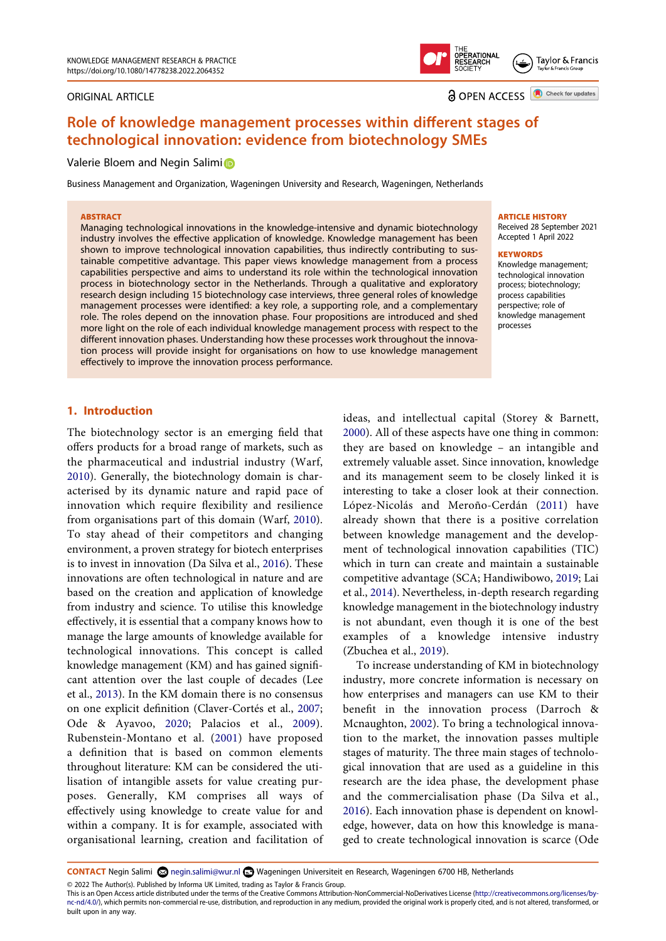#### ORIGINAL ARTICLE



Taylor & Francis

**a** OPEN ACCESS **D** Check for updates

## **Role of knowledge management processes within different stages of technological innovation: evidence from biotechnology SMEs**

#### Valer[i](http://orcid.org/0000-0001-8202-699X)e Bloem and Negin Salimi

Business Management and Organization, Wageningen University and Research, Wageningen, Netherlands

#### **ABSTRACT**

Managing technological innovations in the knowledge-intensive and dynamic biotechnology industry involves the effective application of knowledge. Knowledge management has been shown to improve technological innovation capabilities, thus indirectly contributing to sustainable competitive advantage. This paper views knowledge management from a process capabilities perspective and aims to understand its role within the technological innovation process in biotechnology sector in the Netherlands. Through a qualitative and exploratory research design including 15 biotechnology case interviews, three general roles of knowledge management processes were identified: a key role, a supporting role, and a complementary role. The roles depend on the innovation phase. Four propositions are introduced and shed more light on the role of each individual knowledge management process with respect to the different innovation phases. Understanding how these processes work throughout the innovation process will provide insight for organisations on how to use knowledge management effectively to improve the innovation process performance.

#### **ARTICLE HISTORY**

Received 28 September 2021 Accepted 1 April 2022

#### **KEYWORDS**

Knowledge management; technological innovation process; biotechnology; process capabilities perspective; role of knowledge management processes

### **1. Introduction**

<span id="page-1-10"></span>The biotechnology sector is an emerging field that offers products for a broad range of markets, such as the pharmaceutical and industrial industry (Warf, [2010](#page-13-0)). Generally, the biotechnology domain is characterised by its dynamic nature and rapid pace of innovation which require flexibility and resilience from organisations part of this domain (Warf, [2010\)](#page-13-0). To stay ahead of their competitors and changing environment, a proven strategy for biotech enterprises is to invest in innovation (Da Silva et al., [2016](#page-12-0)). These innovations are often technological in nature and are based on the creation and application of knowledge from industry and science. To utilise this knowledge effectively, it is essential that a company knows how to manage the large amounts of knowledge available for technological innovations. This concept is called knowledge management (KM) and has gained significant attention over the last couple of decades (Lee et al., [2013\)](#page-13-1). In the KM domain there is no consensus on one explicit definition (Claver-Cortés et al., [2007](#page-12-1); Ode & Ayavoo, [2020](#page-13-2); Palacios et al., [2009](#page-13-3)). Rubenstein-Montano et al. [\(2001\)](#page-13-4) have proposed a definition that is based on common elements throughout literature: KM can be considered the utilisation of intangible assets for value creating purposes. Generally, KM comprises all ways of effectively using knowledge to create value for and within a company. It is for example, associated with organisational learning, creation and facilitation of

<span id="page-1-9"></span><span id="page-1-6"></span>ideas, and intellectual capital (Storey & Barnett, [2000\)](#page-13-5). All of these aspects have one thing in common: they are based on knowledge – an intangible and extremely valuable asset. Since innovation, knowledge and its management seem to be closely linked it is interesting to take a closer look at their connection. López-Nicolás and Meroño-Cerdán [\(2011\)](#page-13-6) have already shown that there is a positive correlation between knowledge management and the development of technological innovation capabilities (TIC) which in turn can create and maintain a sustainable competitive advantage (SCA; Handiwibowo, [2019](#page-12-2); Lai et al., [2014](#page-13-7)). Nevertheless, in-depth research regarding knowledge management in the biotechnology industry is not abundant, even though it is one of the best examples of a knowledge intensive industry (Zbuchea et al., [2019](#page-14-0)).

<span id="page-1-11"></span><span id="page-1-4"></span><span id="page-1-3"></span><span id="page-1-2"></span><span id="page-1-1"></span>To increase understanding of KM in biotechnology industry, more concrete information is necessary on how enterprises and managers can use KM to their benefit in the innovation process (Darroch & Mcnaughton, [2002\)](#page-12-3). To bring a technological innovation to the market, the innovation passes multiple stages of maturity. The three main stages of technological innovation that are used as a guideline in this research are the idea phase, the development phase and the commercialisation phase (Da Silva et al., [2016\)](#page-12-0). Each innovation phase is dependent on knowledge, however, data on how this knowledge is managed to create technological innovation is scarce (Ode

<span id="page-1-8"></span><span id="page-1-7"></span><span id="page-1-5"></span><span id="page-1-0"></span>**CONTACT** Negin Salimi <sup><</sup> negin.salimi@wur.nl ■ Wageningen Universiteit en Research, Wageningen 6700 HB, Netherlands

© 2022 The Author(s). Published by Informa UK Limited, trading as Taylor & Francis Group.

This is an Open Access article distributed under the terms of the Creative Commons Attribution-NonCommercial-NoDerivatives License (http://creativecommons.org/licenses/bync-nd/4.0/), which permits non-commercial re-use, distribution, and reproduction in any medium, provided the original work is properly cited, and is not altered, transformed, or built upon in any way.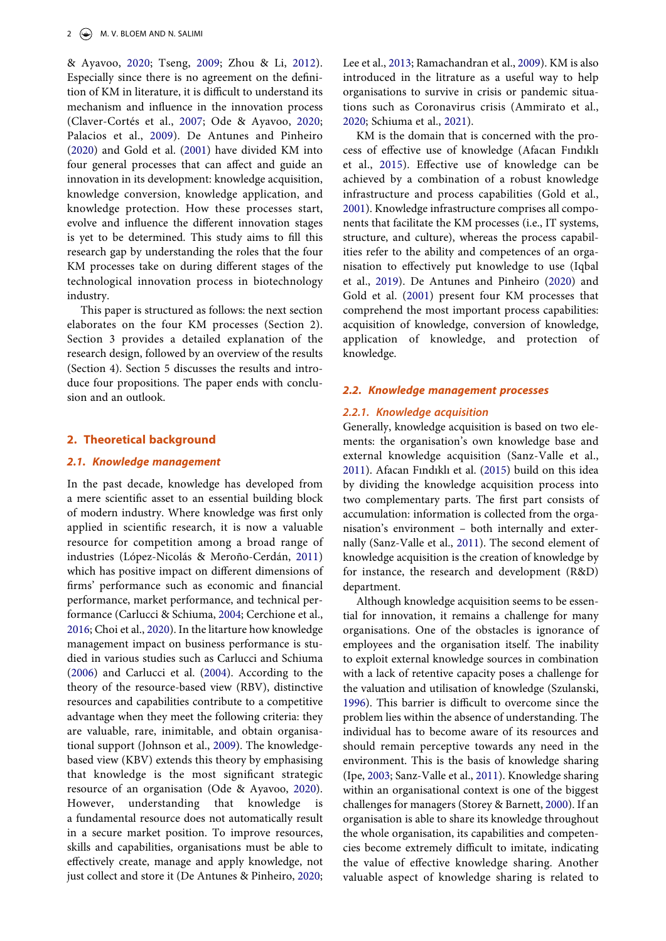<span id="page-2-12"></span>& Ayavoo, [2020](#page-13-2); Tseng, [2009](#page-13-8); Zhou & Li, [2012](#page-14-1)). Especially since there is no agreement on the definition of KM in literature, it is difficult to understand its mechanism and influence in the innovation process (Claver-Cortés et al., [2007](#page-12-1); Ode & Ayavoo, [2020](#page-13-2); Palacios et al., [2009\)](#page-13-3). De Antunes and Pinheiro ([2020\)](#page-12-4) and Gold et al. ([2001\)](#page-12-5) have divided KM into four general processes that can affect and guide an innovation in its development: knowledge acquisition, knowledge conversion, knowledge application, and knowledge protection. How these processes start, evolve and influence the different innovation stages is yet to be determined. This study aims to fill this research gap by understanding the roles that the four KM processes take on during different stages of the technological innovation process in biotechnology industry.

This paper is structured as follows: the next section elaborates on the four KM processes (Section 2). Section 3 provides a detailed explanation of the research design, followed by an overview of the results (Section 4). Section 5 discusses the results and introduce four propositions. The paper ends with conclusion and an outlook.

## **2. Theoretical background**

## *2.1. Knowledge management*

<span id="page-2-8"></span><span id="page-2-4"></span><span id="page-2-3"></span><span id="page-2-2"></span>In the past decade, knowledge has developed from a mere scientific asset to an essential building block of modern industry. Where knowledge was first only applied in scientific research, it is now a valuable resource for competition among a broad range of industries (López-Nicolás & Meroño-Cerdán, [2011](#page-13-6)) which has positive impact on different dimensions of firms' performance such as economic and financial performance, market performance, and technical performance (Carlucci & Schiuma, [2004;](#page-12-6) Cerchione et al., [2016](#page-12-7); Choi et al., [2020\)](#page-12-8). In the litarture how knowledge management impact on business performance is studied in various studies such as Carlucci and Schiuma ([2006\)](#page-12-9) and Carlucci et al. [\(2004\)](#page-12-10). According to the theory of the resource-based view (RBV), distinctive resources and capabilities contribute to a competitive advantage when they meet the following criteria: they are valuable, rare, inimitable, and obtain organisational support (Johnson et al., [2009\)](#page-12-11). The knowledgebased view (KBV) extends this theory by emphasising that knowledge is the most significant strategic resource of an organisation (Ode & Ayavoo, [2020\)](#page-13-2). However, understanding that knowledge is a fundamental resource does not automatically result in a secure market position. To improve resources, skills and capabilities, organisations must be able to effectively create, manage and apply knowledge, not just collect and store it (De Antunes & Pinheiro, [2020](#page-12-4);

<span id="page-2-9"></span>Lee et al., [2013;](#page-13-1) Ramachandran et al., [2009](#page-13-9)). KM is also introduced in the litrature as a useful way to help organisations to survive in crisis or pandemic situations such as Coronavirus crisis (Ammirato et al., [2020;](#page-11-0) Schiuma et al., [2021](#page-13-10)).

<span id="page-2-10"></span><span id="page-2-1"></span>KM is the domain that is concerned with the process of effective use of knowledge (Afacan Fındıklı et al., [2015](#page-11-1)). Effective use of knowledge can be achieved by a combination of a robust knowledge infrastructure and process capabilities (Gold et al., [2001\)](#page-12-5). Knowledge infrastructure comprises all components that facilitate the KM processes (i.e., IT systems, structure, and culture), whereas the process capabilities refer to the ability and competences of an organisation to effectively put knowledge to use (Iqbal et al., [2019](#page-12-12)). De Antunes and Pinheiro ([2020](#page-12-4)) and Gold et al. ([2001](#page-12-5)) present four KM processes that comprehend the most important process capabilities: acquisition of knowledge, conversion of knowledge, application of knowledge, and protection of knowledge.

#### <span id="page-2-6"></span><span id="page-2-5"></span>*2.2. Knowledge management processes*

## *2.2.1. Knowledge acquisition*

<span id="page-2-0"></span>Generally, knowledge acquisition is based on two elements: the organisation's own knowledge base and external knowledge acquisition (Sanz-Valle et al., [2011\)](#page-13-11). Afacan Fındıklı et al. ([2015\)](#page-11-1) build on this idea by dividing the knowledge acquisition process into two complementary parts. The first part consists of accumulation: information is collected from the organisation's environment – both internally and externally (Sanz-Valle et al., [2011\)](#page-13-11). The second element of knowledge acquisition is the creation of knowledge by for instance, the research and development (R&D) department.

<span id="page-2-11"></span><span id="page-2-7"></span>Although knowledge acquisition seems to be essential for innovation, it remains a challenge for many organisations. One of the obstacles is ignorance of employees and the organisation itself. The inability to exploit external knowledge sources in combination with a lack of retentive capacity poses a challenge for the valuation and utilisation of knowledge (Szulanski, [1996\)](#page-13-12). This barrier is difficult to overcome since the problem lies within the absence of understanding. The individual has to become aware of its resources and should remain perceptive towards any need in the environment. This is the basis of knowledge sharing (Ipe, [2003;](#page-12-13) Sanz-Valle et al., [2011\)](#page-13-11). Knowledge sharing within an organisational context is one of the biggest challenges for managers (Storey & Barnett, [2000\)](#page-13-5). If an organisation is able to share its knowledge throughout the whole organisation, its capabilities and competencies become extremely difficult to imitate, indicating the value of effective knowledge sharing. Another valuable aspect of knowledge sharing is related to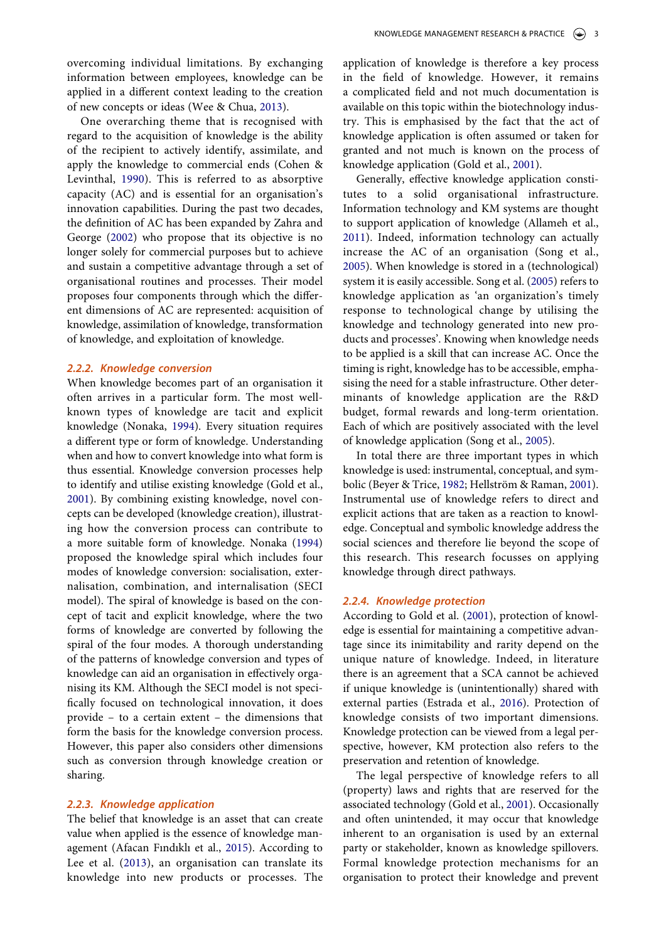<span id="page-3-7"></span><span id="page-3-6"></span><span id="page-3-2"></span>One overarching theme that is recognised with regard to the acquisition of knowledge is the ability of the recipient to actively identify, assimilate, and apply the knowledge to commercial ends (Cohen & Levinthal, [1990](#page-12-14)). This is referred to as absorptive capacity (AC) and is essential for an organisation's innovation capabilities. During the past two decades, the definition of AC has been expanded by Zahra and George ([2002](#page-14-2)) who propose that its objective is no longer solely for commercial purposes but to achieve and sustain a competitive advantage through a set of organisational routines and processes. Their model proposes four components through which the different dimensions of AC are represented: acquisition of knowledge, assimilation of knowledge, transformation of knowledge, and exploitation of knowledge.

#### *2.2.2. Knowledge conversion*

<span id="page-3-4"></span>When knowledge becomes part of an organisation it often arrives in a particular form. The most wellknown types of knowledge are tacit and explicit knowledge (Nonaka, [1994\)](#page-13-14). Every situation requires a different type or form of knowledge. Understanding when and how to convert knowledge into what form is thus essential. Knowledge conversion processes help to identify and utilise existing knowledge (Gold et al., [2001](#page-12-5)). By combining existing knowledge, novel concepts can be developed (knowledge creation), illustrating how the conversion process can contribute to a more suitable form of knowledge. Nonaka ([1994\)](#page-13-14) proposed the knowledge spiral which includes four modes of knowledge conversion: socialisation, externalisation, combination, and internalisation (SECI model). The spiral of knowledge is based on the concept of tacit and explicit knowledge, where the two forms of knowledge are converted by following the spiral of the four modes. A thorough understanding of the patterns of knowledge conversion and types of knowledge can aid an organisation in effectively organising its KM. Although the SECI model is not specifically focused on technological innovation, it does provide – to a certain extent – the dimensions that form the basis for the knowledge conversion process. However, this paper also considers other dimensions such as conversion through knowledge creation or sharing.

## *2.2.3. Knowledge application*

The belief that knowledge is an asset that can create value when applied is the essence of knowledge management (Afacan Fındıklı et al., [2015\)](#page-11-1). According to Lee et al. ([2013](#page-13-1)), an organisation can translate its knowledge into new products or processes. The application of knowledge is therefore a key process in the field of knowledge. However, it remains a complicated field and not much documentation is available on this topic within the biotechnology industry. This is emphasised by the fact that the act of knowledge application is often assumed or taken for granted and not much is known on the process of knowledge application (Gold et al., [2001\)](#page-12-5).

<span id="page-3-0"></span>Generally, effective knowledge application constitutes to a solid organisational infrastructure. Information technology and KM systems are thought to support application of knowledge (Allameh et al., [2011](#page-11-2)). Indeed, information technology can actually increase the AC of an organisation (Song et al., [2005\)](#page-13-15). When knowledge is stored in a (technological) system it is easily accessible. Song et al. ([2005\)](#page-13-15) refers to knowledge application as 'an organization's timely response to technological change by utilising the knowledge and technology generated into new products and processes'. Knowing when knowledge needs to be applied is a skill that can increase AC. Once the timing is right, knowledge has to be accessible, emphasising the need for a stable infrastructure. Other determinants of knowledge application are the R&D budget, formal rewards and long-term orientation. Each of which are positively associated with the level of knowledge application (Song et al., [2005](#page-13-15)).

<span id="page-3-5"></span><span id="page-3-1"></span>In total there are three important types in which knowledge is used: instrumental, conceptual, and symbolic (Beyer & Trice, [1982](#page-12-15); Hellström & Raman, [2001](#page-12-16)). Instrumental use of knowledge refers to direct and explicit actions that are taken as a reaction to knowledge. Conceptual and symbolic knowledge address the social sciences and therefore lie beyond the scope of this research. This research focusses on applying knowledge through direct pathways.

#### *2.2.4. Knowledge protection*

According to Gold et al. [\(2001](#page-12-5)), protection of knowledge is essential for maintaining a competitive advantage since its inimitability and rarity depend on the unique nature of knowledge. Indeed, in literature there is an agreement that a SCA cannot be achieved if unique knowledge is (unintentionally) shared with external parties (Estrada et al., [2016](#page-12-17)). Protection of knowledge consists of two important dimensions. Knowledge protection can be viewed from a legal perspective, however, KM protection also refers to the preservation and retention of knowledge.

<span id="page-3-3"></span>The legal perspective of knowledge refers to all (property) laws and rights that are reserved for the associated technology (Gold et al., [2001\)](#page-12-5). Occasionally and often unintended, it may occur that knowledge inherent to an organisation is used by an external party or stakeholder, known as knowledge spillovers. Formal knowledge protection mechanisms for an organisation to protect their knowledge and prevent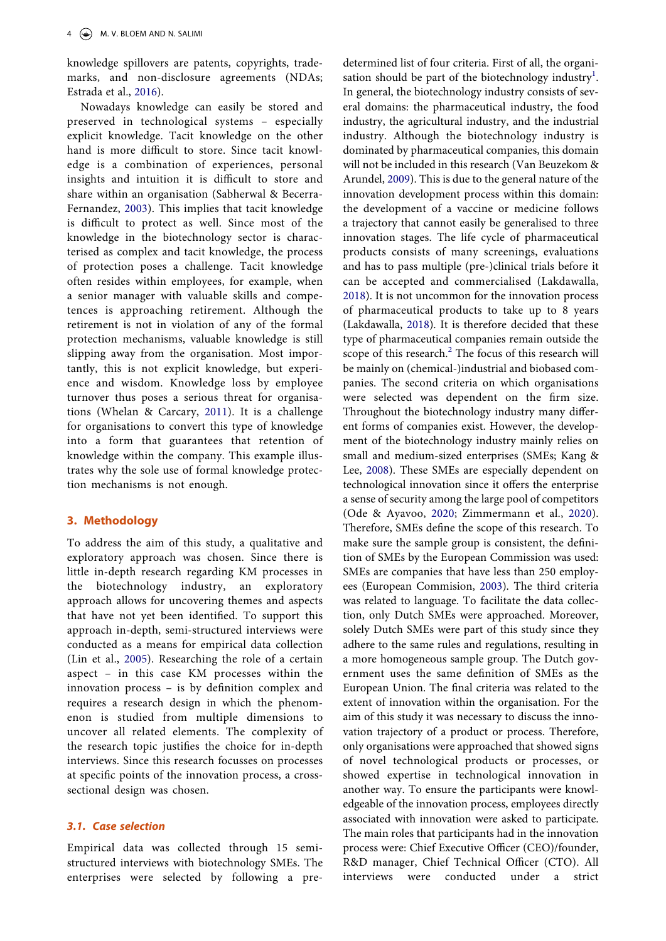knowledge spillovers are patents, copyrights, trademarks, and non-disclosure agreements (NDAs; Estrada et al., [2016](#page-12-17)).

<span id="page-4-4"></span>Nowadays knowledge can easily be stored and preserved in technological systems – especially explicit knowledge. Tacit knowledge on the other hand is more difficult to store. Since tacit knowledge is a combination of experiences, personal insights and intuition it is difficult to store and share within an organisation (Sabherwal & Becerra-Fernandez, [2003\)](#page-13-16). This implies that tacit knowledge is difficult to protect as well. Since most of the knowledge in the biotechnology sector is characterised as complex and tacit knowledge, the process of protection poses a challenge. Tacit knowledge often resides within employees, for example, when a senior manager with valuable skills and competences is approaching retirement. Although the retirement is not in violation of any of the formal protection mechanisms, valuable knowledge is still slipping away from the organisation. Most importantly, this is not explicit knowledge, but experience and wisdom. Knowledge loss by employee turnover thus poses a serious threat for organisations (Whelan & Carcary, [2011\)](#page-14-3). It is a challenge for organisations to convert this type of knowledge into a form that guarantees that retention of knowledge within the company. This example illustrates why the sole use of formal knowledge protection mechanisms is not enough.

## <span id="page-4-7"></span><span id="page-4-6"></span><span id="page-4-1"></span>**3. Methodology**

<span id="page-4-3"></span><span id="page-4-0"></span>To address the aim of this study, a qualitative and exploratory approach was chosen. Since there is little in-depth research regarding KM processes in the biotechnology industry, an exploratory approach allows for uncovering themes and aspects that have not yet been identified. To support this approach in-depth, semi-structured interviews were conducted as a means for empirical data collection (Lin et al., [2005\)](#page-13-17). Researching the role of a certain aspect – in this case KM processes within the innovation process – is by definition complex and requires a research design in which the phenomenon is studied from multiple dimensions to uncover all related elements. The complexity of the research topic justifies the choice for in-depth interviews. Since this research focusses on processes at specific points of the innovation process, a crosssectional design was chosen.

## *3.1. Case selection*

Empirical data was collected through 15 semistructured interviews with biotechnology SMEs. The enterprises were selected by following a pre-

<span id="page-4-5"></span><span id="page-4-2"></span>determined list of four criteria. First of all, the organisation should be part of the biotechnology industry<sup>1</sup>. In general, the biotechnology industry consists of several domains: the pharmaceutical industry, the food industry, the agricultural industry, and the industrial industry. Although the biotechnology industry is dominated by pharmaceutical companies, this domain will not be included in this research (Van Beuzekom & Arundel, [2009\)](#page-13-18). This is due to the general nature of the innovation development process within this domain: the development of a vaccine or medicine follows a trajectory that cannot easily be generalised to three innovation stages. The life cycle of pharmaceutical products consists of many screenings, evaluations and has to pass multiple (pre-)clinical trials before it can be accepted and commercialised (Lakdawalla, [2018\)](#page-13-19). It is not uncommon for the innovation process of pharmaceutical products to take up to 8 years (Lakdawalla, [2018\)](#page-13-19). It is therefore decided that these type of pharmaceutical companies remain outside the scope of this research.<sup>[2](#page-11-4)</sup> The focus of this research will be mainly on (chemical-)industrial and biobased companies. The second criteria on which organisations were selected was dependent on the firm size. Throughout the biotechnology industry many different forms of companies exist. However, the development of the biotechnology industry mainly relies on small and medium-sized enterprises (SMEs; Kang & Lee, [2008\)](#page-13-20). These SMEs are especially dependent on technological innovation since it offers the enterprise a sense of security among the large pool of competitors (Ode & Ayavoo, [2020](#page-13-2); Zimmermann et al., [2020](#page-14-4)). Therefore, SMEs define the scope of this research. To make sure the sample group is consistent, the definition of SMEs by the European Commission was used: SMEs are companies that have less than 250 employees (European Commision, [2003](#page-12-18)). The third criteria was related to language. To facilitate the data collection, only Dutch SMEs were approached. Moreover, solely Dutch SMEs were part of this study since they adhere to the same rules and regulations, resulting in a more homogeneous sample group. The Dutch government uses the same definition of SMEs as the European Union. The final criteria was related to the extent of innovation within the organisation. For the aim of this study it was necessary to discuss the innovation trajectory of a product or process. Therefore, only organisations were approached that showed signs of novel technological products or processes, or showed expertise in technological innovation in another way. To ensure the participants were knowledgeable of the innovation process, employees directly associated with innovation were asked to participate. The main roles that participants had in the innovation process were: Chief Executive Officer (CEO)/founder, R&D manager, Chief Technical Officer (CTO). All interviews were conducted under a strict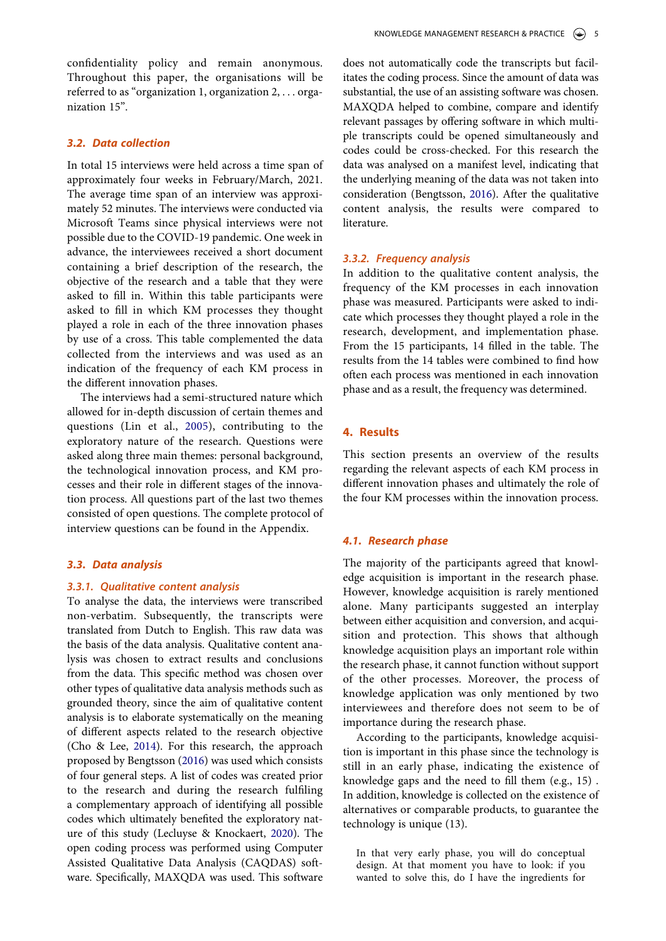confidentiality policy and remain anonymous. Throughout this paper, the organisations will be referred to as "organization 1, organization 2, . . . organization 15".

## *3.2. Data collection*

In total 15 interviews were held across a time span of approximately four weeks in February/March, 2021. The average time span of an interview was approximately 52 minutes. The interviews were conducted via Microsoft Teams since physical interviews were not possible due to the COVID-19 pandemic. One week in advance, the interviewees received a short document containing a brief description of the research, the objective of the research and a table that they were asked to fill in. Within this table participants were asked to fill in which KM processes they thought played a role in each of the three innovation phases by use of a cross. This table complemented the data collected from the interviews and was used as an indication of the frequency of each KM process in the different innovation phases.

The interviews had a semi-structured nature which allowed for in-depth discussion of certain themes and questions (Lin et al., [2005](#page-13-17)), contributing to the exploratory nature of the research. Questions were asked along three main themes: personal background, the technological innovation process, and KM processes and their role in different stages of the innovation process. All questions part of the last two themes consisted of open questions. The complete protocol of interview questions can be found in the Appendix.

#### *3.3. Data analysis*

#### *3.3.1. Qualitative content analysis*

<span id="page-5-2"></span><span id="page-5-1"></span>To analyse the data, the interviews were transcribed non-verbatim. Subsequently, the transcripts were translated from Dutch to English. This raw data was the basis of the data analysis. Qualitative content analysis was chosen to extract results and conclusions from the data. This specific method was chosen over other types of qualitative data analysis methods such as grounded theory, since the aim of qualitative content analysis is to elaborate systematically on the meaning of different aspects related to the research objective (Cho & Lee, [2014\)](#page-12-19). For this research, the approach proposed by Bengtsson ([2016\)](#page-11-5) was used which consists of four general steps. A list of codes was created prior to the research and during the research fulfiling a complementary approach of identifying all possible codes which ultimately benefited the exploratory nature of this study (Lecluyse & Knockaert, [2020](#page-13-21)). The open coding process was performed using Computer Assisted Qualitative Data Analysis (CAQDAS) software. Specifically, MAXQDA was used. This software

does not automatically code the transcripts but facilitates the coding process. Since the amount of data was substantial, the use of an assisting software was chosen. MAXQDA helped to combine, compare and identify relevant passages by offering software in which multiple transcripts could be opened simultaneously and codes could be cross-checked. For this research the data was analysed on a manifest level, indicating that the underlying meaning of the data was not taken into consideration (Bengtsson, [2016\)](#page-11-5). After the qualitative content analysis, the results were compared to literature.

## <span id="page-5-0"></span>*3.3.2. Frequency analysis*

In addition to the qualitative content analysis, the frequency of the KM processes in each innovation phase was measured. Participants were asked to indicate which processes they thought played a role in the research, development, and implementation phase. From the 15 participants, 14 filled in the table. The results from the 14 tables were combined to find how often each process was mentioned in each innovation phase and as a result, the frequency was determined.

## **4. Results**

This section presents an overview of the results regarding the relevant aspects of each KM process in different innovation phases and ultimately the role of the four KM processes within the innovation process.

#### *4.1. Research phase*

The majority of the participants agreed that knowledge acquisition is important in the research phase. However, knowledge acquisition is rarely mentioned alone. Many participants suggested an interplay between either acquisition and conversion, and acquisition and protection. This shows that although knowledge acquisition plays an important role within the research phase, it cannot function without support of the other processes. Moreover, the process of knowledge application was only mentioned by two interviewees and therefore does not seem to be of importance during the research phase.

According to the participants, knowledge acquisition is important in this phase since the technology is still in an early phase, indicating the existence of knowledge gaps and the need to fill them (e.g., 15) . In addition, knowledge is collected on the existence of alternatives or comparable products, to guarantee the technology is unique (13).

In that very early phase, you will do conceptual design. At that moment you have to look: if you wanted to solve this, do I have the ingredients for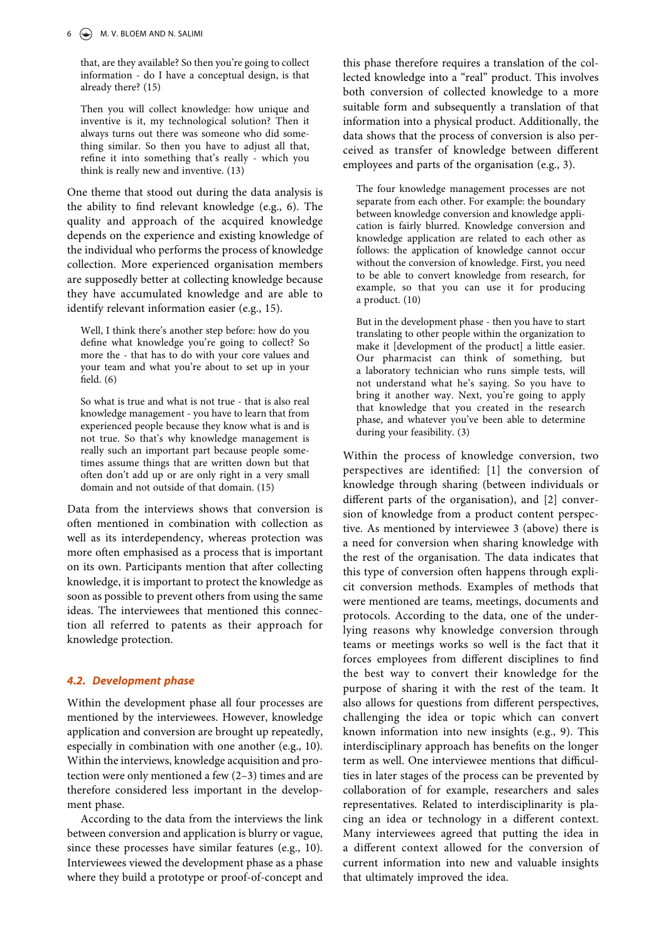that, are they available? So then you're going to collect information - do I have a conceptual design, is that already there? (15)

Then you will collect knowledge: how unique and inventive is it, my technological solution? Then it always turns out there was someone who did something similar. So then you have to adjust all that, refine it into something that's really - which you think is really new and inventive. (13)

One theme that stood out during the data analysis is the ability to find relevant knowledge (e.g., 6). The quality and approach of the acquired knowledge depends on the experience and existing knowledge of the individual who performs the process of knowledge collection. More experienced organisation members are supposedly better at collecting knowledge because they have accumulated knowledge and are able to identify relevant information easier (e.g., 15).

Well, I think there's another step before: how do you define what knowledge you're going to collect? So more the - that has to do with your core values and your team and what you're about to set up in your field. (6)

So what is true and what is not true - that is also real knowledge management - you have to learn that from experienced people because they know what is and is not true. So that's why knowledge management is really such an important part because people sometimes assume things that are written down but that often don't add up or are only right in a very small domain and not outside of that domain. (15)

Data from the interviews shows that conversion is often mentioned in combination with collection as well as its interdependency, whereas protection was more often emphasised as a process that is important on its own. Participants mention that after collecting knowledge, it is important to protect the knowledge as soon as possible to prevent others from using the same ideas. The interviewees that mentioned this connection all referred to patents as their approach for knowledge protection.

## *4.2. Development phase*

Within the development phase all four processes are mentioned by the interviewees. However, knowledge application and conversion are brought up repeatedly, especially in combination with one another (e.g., 10). Within the interviews, knowledge acquisition and protection were only mentioned a few (2–3) times and are therefore considered less important in the development phase.

According to the data from the interviews the link between conversion and application is blurry or vague, since these processes have similar features (e.g., 10). Interviewees viewed the development phase as a phase where they build a prototype or proof-of-concept and

this phase therefore requires a translation of the collected knowledge into a "real" product. This involves both conversion of collected knowledge to a more suitable form and subsequently a translation of that information into a physical product. Additionally, the data shows that the process of conversion is also perceived as transfer of knowledge between different employees and parts of the organisation (e.g., 3).

The four knowledge management processes are not separate from each other. For example: the boundary between knowledge conversion and knowledge application is fairly blurred. Knowledge conversion and knowledge application are related to each other as follows: the application of knowledge cannot occur without the conversion of knowledge. First, you need to be able to convert knowledge from research, for example, so that you can use it for producing a product. (10)

But in the development phase - then you have to start translating to other people within the organization to make it [development of the product] a little easier. Our pharmacist can think of something, but a laboratory technician who runs simple tests, will not understand what he's saying. So you have to bring it another way. Next, you're going to apply that knowledge that you created in the research phase, and whatever you've been able to determine during your feasibility. (3)

Within the process of knowledge conversion, two perspectives are identified: [1] the conversion of knowledge through sharing (between individuals or different parts of the organisation), and [2] conversion of knowledge from a product content perspective. As mentioned by interviewee 3 (above) there is a need for conversion when sharing knowledge with the rest of the organisation. The data indicates that this type of conversion often happens through explicit conversion methods. Examples of methods that were mentioned are teams, meetings, documents and protocols. According to the data, one of the underlying reasons why knowledge conversion through teams or meetings works so well is the fact that it forces employees from different disciplines to find the best way to convert their knowledge for the purpose of sharing it with the rest of the team. It also allows for questions from different perspectives, challenging the idea or topic which can convert known information into new insights (e.g., 9). This interdisciplinary approach has benefits on the longer term as well. One interviewee mentions that difficulties in later stages of the process can be prevented by collaboration of for example, researchers and sales representatives. Related to interdisciplinarity is placing an idea or technology in a different context. Many interviewees agreed that putting the idea in a different context allowed for the conversion of current information into new and valuable insights that ultimately improved the idea.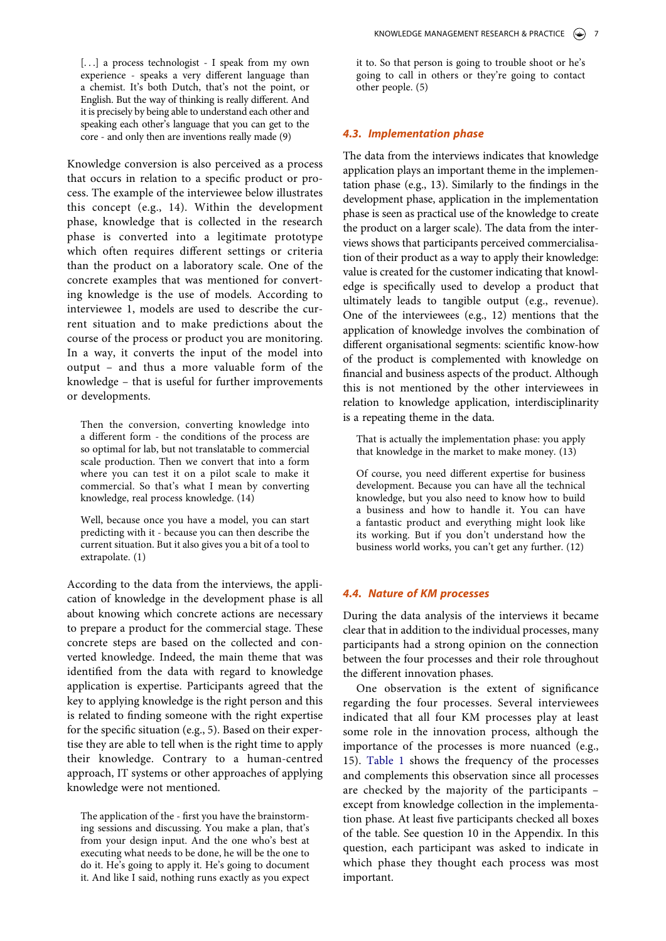[...] a process technologist - I speak from my own experience - speaks a very different language than a chemist. It's both Dutch, that's not the point, or English. But the way of thinking is really different. And it is precisely by being able to understand each other and speaking each other's language that you can get to the core - and only then are inventions really made (9)

Knowledge conversion is also perceived as a process that occurs in relation to a specific product or process. The example of the interviewee below illustrates this concept (e.g., 14). Within the development phase, knowledge that is collected in the research phase is converted into a legitimate prototype which often requires different settings or criteria than the product on a laboratory scale. One of the concrete examples that was mentioned for converting knowledge is the use of models. According to interviewee 1, models are used to describe the current situation and to make predictions about the course of the process or product you are monitoring. In a way, it converts the input of the model into output – and thus a more valuable form of the knowledge – that is useful for further improvements or developments.

Then the conversion, converting knowledge into a different form - the conditions of the process are so optimal for lab, but not translatable to commercial scale production. Then we convert that into a form where you can test it on a pilot scale to make it commercial. So that's what I mean by converting knowledge, real process knowledge. (14)

Well, because once you have a model, you can start predicting with it - because you can then describe the current situation. But it also gives you a bit of a tool to extrapolate. (1)

According to the data from the interviews, the application of knowledge in the development phase is all about knowing which concrete actions are necessary to prepare a product for the commercial stage. These concrete steps are based on the collected and converted knowledge. Indeed, the main theme that was identified from the data with regard to knowledge application is expertise. Participants agreed that the key to applying knowledge is the right person and this is related to finding someone with the right expertise for the specific situation (e.g., 5). Based on their expertise they are able to tell when is the right time to apply their knowledge. Contrary to a human-centred approach, IT systems or other approaches of applying knowledge were not mentioned.

The application of the - first you have the brainstorming sessions and discussing. You make a plan, that's from your design input. And the one who's best at executing what needs to be done, he will be the one to do it. He's going to apply it. He's going to document it. And like I said, nothing runs exactly as you expect it to. So that person is going to trouble shoot or he's going to call in others or they're going to contact other people. (5)

#### *4.3. Implementation phase*

The data from the interviews indicates that knowledge application plays an important theme in the implementation phase (e.g., 13). Similarly to the findings in the development phase, application in the implementation phase is seen as practical use of the knowledge to create the product on a larger scale). The data from the interviews shows that participants perceived commercialisation of their product as a way to apply their knowledge: value is created for the customer indicating that knowledge is specifically used to develop a product that ultimately leads to tangible output (e.g., revenue). One of the interviewees (e.g., 12) mentions that the application of knowledge involves the combination of different organisational segments: scientific know-how of the product is complemented with knowledge on financial and business aspects of the product. Although this is not mentioned by the other interviewees in relation to knowledge application, interdisciplinarity is a repeating theme in the data.

That is actually the implementation phase: you apply that knowledge in the market to make money. (13)

Of course, you need different expertise for business development. Because you can have all the technical knowledge, but you also need to know how to build a business and how to handle it. You can have a fantastic product and everything might look like its working. But if you don't understand how the business world works, you can't get any further. (12)

## *4.4. Nature of KM processes*

During the data analysis of the interviews it became clear that in addition to the individual processes, many participants had a strong opinion on the connection between the four processes and their role throughout the different innovation phases.

One observation is the extent of significance regarding the four processes. Several interviewees indicated that all four KM processes play at least some role in the innovation process, although the importance of the processes is more nuanced (e.g., 15). [Table 1](#page-8-0) shows the frequency of the processes and complements this observation since all processes are checked by the majority of the participants – except from knowledge collection in the implementation phase. At least five participants checked all boxes of the table. See question 10 in the Appendix. In this question, each participant was asked to indicate in which phase they thought each process was most important.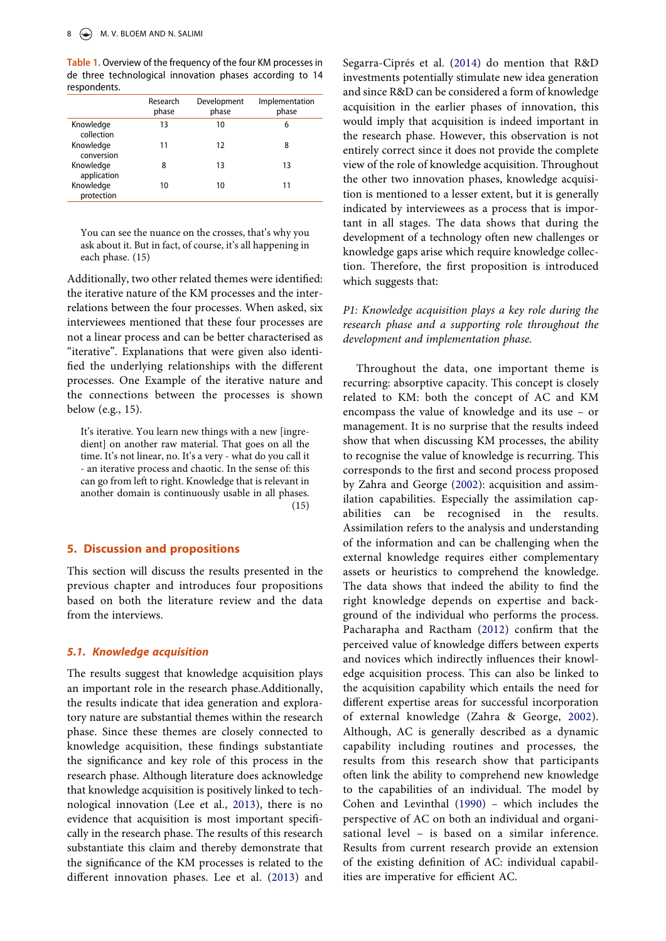<span id="page-8-0"></span>**Table 1.** Overview of the frequency of the four KM processes in de three technological innovation phases according to 14 respondents.

|                          | Research<br>phase | Development<br>phase | Implementation<br>phase |
|--------------------------|-------------------|----------------------|-------------------------|
| Knowledge<br>collection  | 13                | 10                   | 6                       |
| Knowledge<br>conversion  | 11                | 12                   | 8                       |
| Knowledge<br>application | 8                 | 13                   | 13                      |
| Knowledge<br>protection  | 10                | 10                   | 11                      |

You can see the nuance on the crosses, that's why you ask about it. But in fact, of course, it's all happening in each phase. (15)

Additionally, two other related themes were identified: the iterative nature of the KM processes and the interrelations between the four processes. When asked, six interviewees mentioned that these four processes are not a linear process and can be better characterised as "iterative". Explanations that were given also identified the underlying relationships with the different processes. One Example of the iterative nature and the connections between the processes is shown below (e.g., 15).

It's iterative. You learn new things with a new [ingredient] on another raw material. That goes on all the time. It's not linear, no. It's a very - what do you call it - an iterative process and chaotic. In the sense of: this can go from left to right. Knowledge that is relevant in another domain is continuously usable in all phases.  $(15)$ 

## **5. Discussion and propositions**

This section will discuss the results presented in the previous chapter and introduces four propositions based on both the literature review and the data from the interviews.

## *5.1. Knowledge acquisition*

The results suggest that knowledge acquisition plays an important role in the research phase.Additionally, the results indicate that idea generation and exploratory nature are substantial themes within the research phase. Since these themes are closely connected to knowledge acquisition, these findings substantiate the significance and key role of this process in the research phase. Although literature does acknowledge that knowledge acquisition is positively linked to technological innovation (Lee et al., [2013\)](#page-13-1), there is no evidence that acquisition is most important specifically in the research phase. The results of this research substantiate this claim and thereby demonstrate that the significance of the KM processes is related to the different innovation phases. Lee et al. ([2013\)](#page-13-1) and

<span id="page-8-2"></span>Segarra-Ciprés et al. ([2014\)](#page-13-22) do mention that R&D investments potentially stimulate new idea generation and since R&D can be considered a form of knowledge acquisition in the earlier phases of innovation, this would imply that acquisition is indeed important in the research phase. However, this observation is not entirely correct since it does not provide the complete view of the role of knowledge acquisition. Throughout the other two innovation phases, knowledge acquisition is mentioned to a lesser extent, but it is generally indicated by interviewees as a process that is important in all stages. The data shows that during the development of a technology often new challenges or knowledge gaps arise which require knowledge collection. Therefore, the first proposition is introduced which suggests that:

## *P1: Knowledge acquisition plays a key role during the research phase and a supporting role throughout the development and implementation phase.*

<span id="page-8-1"></span>Throughout the data, one important theme is recurring: absorptive capacity. This concept is closely related to KM: both the concept of AC and KM encompass the value of knowledge and its use – or management. It is no surprise that the results indeed show that when discussing KM processes, the ability to recognise the value of knowledge is recurring. This corresponds to the first and second process proposed by Zahra and George [\(2002\)](#page-14-2): acquisition and assimilation capabilities. Especially the assimilation capabilities can be recognised in the results. Assimilation refers to the analysis and understanding of the information and can be challenging when the external knowledge requires either complementary assets or heuristics to comprehend the knowledge. The data shows that indeed the ability to find the right knowledge depends on expertise and background of the individual who performs the process. Pacharapha and Ractham ([2012](#page-13-23)) confirm that the perceived value of knowledge differs between experts and novices which indirectly influences their knowledge acquisition process. This can also be linked to the acquisition capability which entails the need for different expertise areas for successful incorporation of external knowledge (Zahra & George, [2002](#page-14-2)). Although, AC is generally described as a dynamic capability including routines and processes, the results from this research show that participants often link the ability to comprehend new knowledge to the capabilities of an individual. The model by Cohen and Levinthal [\(1990\)](#page-12-14) – which includes the perspective of AC on both an individual and organisational level – is based on a similar inference. Results from current research provide an extension of the existing definition of AC: individual capabilities are imperative for efficient AC.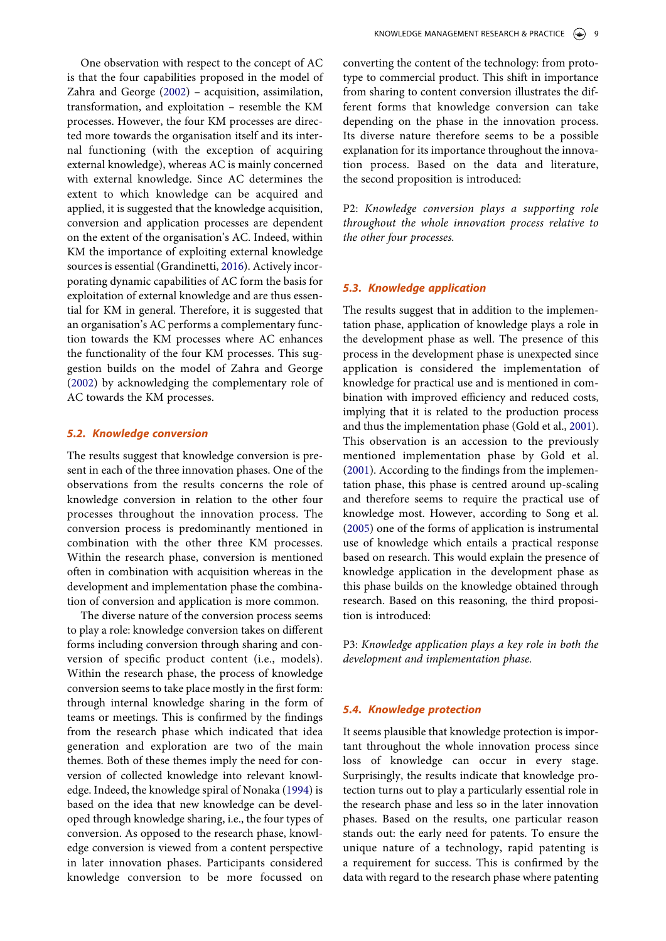One observation with respect to the concept of AC is that the four capabilities proposed in the model of Zahra and George [\(2002](#page-14-2)) – acquisition, assimilation, transformation, and exploitation – resemble the KM processes. However, the four KM processes are directed more towards the organisation itself and its internal functioning (with the exception of acquiring external knowledge), whereas AC is mainly concerned with external knowledge. Since AC determines the extent to which knowledge can be acquired and applied, it is suggested that the knowledge acquisition, conversion and application processes are dependent on the extent of the organisation's AC. Indeed, within KM the importance of exploiting external knowledge sources is essential (Grandinetti, [2016\)](#page-12-20). Actively incorporating dynamic capabilities of AC form the basis for exploitation of external knowledge and are thus essential for KM in general. Therefore, it is suggested that an organisation's AC performs a complementary function towards the KM processes where AC enhances the functionality of the four KM processes. This suggestion builds on the model of Zahra and George ([2002\)](#page-14-2) by acknowledging the complementary role of AC towards the KM processes.

## <span id="page-9-0"></span>*5.2. Knowledge conversion*

The results suggest that knowledge conversion is present in each of the three innovation phases. One of the observations from the results concerns the role of knowledge conversion in relation to the other four processes throughout the innovation process. The conversion process is predominantly mentioned in combination with the other three KM processes. Within the research phase, conversion is mentioned often in combination with acquisition whereas in the development and implementation phase the combination of conversion and application is more common.

The diverse nature of the conversion process seems to play a role: knowledge conversion takes on different forms including conversion through sharing and conversion of specific product content (i.e., models). Within the research phase, the process of knowledge conversion seems to take place mostly in the first form: through internal knowledge sharing in the form of teams or meetings. This is confirmed by the findings from the research phase which indicated that idea generation and exploration are two of the main themes. Both of these themes imply the need for conversion of collected knowledge into relevant knowledge. Indeed, the knowledge spiral of Nonaka [\(1994](#page-13-14)) is based on the idea that new knowledge can be developed through knowledge sharing, i.e., the four types of conversion. As opposed to the research phase, knowledge conversion is viewed from a content perspective in later innovation phases. Participants considered knowledge conversion to be more focussed on

converting the content of the technology: from prototype to commercial product. This shift in importance from sharing to content conversion illustrates the different forms that knowledge conversion can take depending on the phase in the innovation process. Its diverse nature therefore seems to be a possible explanation for its importance throughout the innovation process. Based on the data and literature, the second proposition is introduced:

P2: *Knowledge conversion plays a supporting role throughout the whole innovation process relative to the other four processes.*

## *5.3. Knowledge application*

The results suggest that in addition to the implementation phase, application of knowledge plays a role in the development phase as well. The presence of this process in the development phase is unexpected since application is considered the implementation of knowledge for practical use and is mentioned in combination with improved efficiency and reduced costs, implying that it is related to the production process and thus the implementation phase (Gold et al., [2001](#page-12-5)). This observation is an accession to the previously mentioned implementation phase by Gold et al. [\(2001](#page-12-5)). According to the findings from the implementation phase, this phase is centred around up-scaling and therefore seems to require the practical use of knowledge most. However, according to Song et al. [\(2005](#page-13-15)) one of the forms of application is instrumental use of knowledge which entails a practical response based on research. This would explain the presence of knowledge application in the development phase as this phase builds on the knowledge obtained through research. Based on this reasoning, the third proposition is introduced:

P3: *Knowledge application plays a key role in both the development and implementation phase.*

## *5.4. Knowledge protection*

It seems plausible that knowledge protection is important throughout the whole innovation process since loss of knowledge can occur in every stage. Surprisingly, the results indicate that knowledge protection turns out to play a particularly essential role in the research phase and less so in the later innovation phases. Based on the results, one particular reason stands out: the early need for patents. To ensure the unique nature of a technology, rapid patenting is a requirement for success. This is confirmed by the data with regard to the research phase where patenting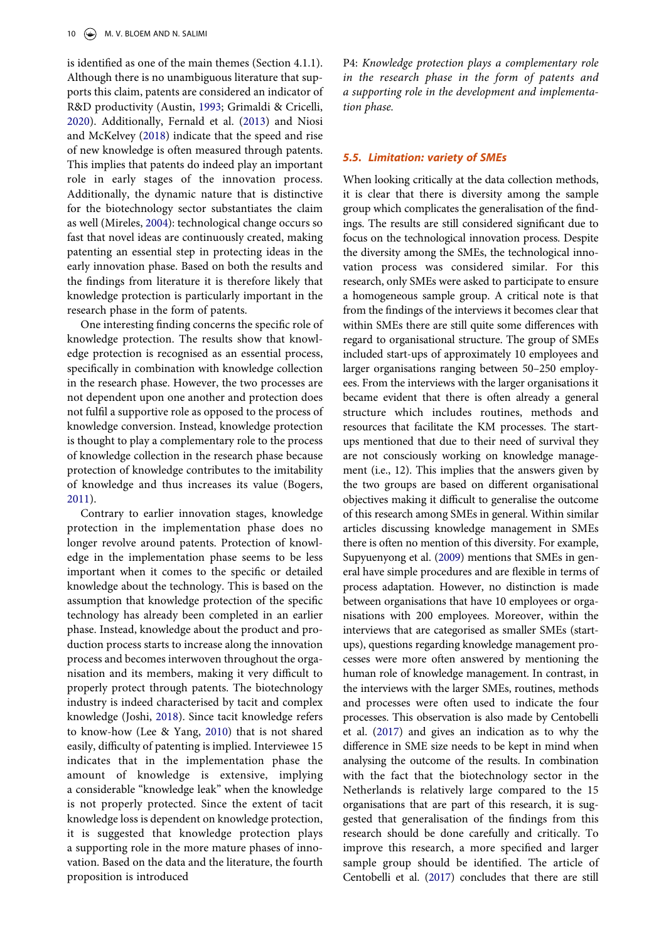<span id="page-10-7"></span><span id="page-10-3"></span><span id="page-10-0"></span>is identified as one of the main themes (Section 4.1.1). Although there is no unambiguous literature that supports this claim, patents are considered an indicator of R&D productivity (Austin, [1993;](#page-11-6) Grimaldi & Cricelli, [2020](#page-12-21)). Additionally, Fernald et al. [\(2013\)](#page-12-22) and Niosi and McKelvey ([2018](#page-13-24)) indicate that the speed and rise of new knowledge is often measured through patents. This implies that patents do indeed play an important role in early stages of the innovation process. Additionally, the dynamic nature that is distinctive for the biotechnology sector substantiates the claim as well (Mireles, [2004](#page-13-25)): technological change occurs so fast that novel ideas are continuously created, making patenting an essential step in protecting ideas in the early innovation phase. Based on both the results and the findings from literature it is therefore likely that knowledge protection is particularly important in the research phase in the form of patents.

<span id="page-10-6"></span>One interesting finding concerns the specific role of knowledge protection. The results show that knowledge protection is recognised as an essential process, specifically in combination with knowledge collection in the research phase. However, the two processes are not dependent upon one another and protection does not fulfil a supportive role as opposed to the process of knowledge conversion. Instead, knowledge protection is thought to play a complementary role to the process of knowledge collection in the research phase because protection of knowledge contributes to the imitability of knowledge and thus increases its value (Bogers, [2011](#page-12-23)).

<span id="page-10-8"></span><span id="page-10-5"></span><span id="page-10-4"></span><span id="page-10-2"></span><span id="page-10-1"></span>Contrary to earlier innovation stages, knowledge protection in the implementation phase does no longer revolve around patents. Protection of knowledge in the implementation phase seems to be less important when it comes to the specific or detailed knowledge about the technology. This is based on the assumption that knowledge protection of the specific technology has already been completed in an earlier phase. Instead, knowledge about the product and production process starts to increase along the innovation process and becomes interwoven throughout the organisation and its members, making it very difficult to properly protect through patents. The biotechnology industry is indeed characterised by tacit and complex knowledge (Joshi, [2018](#page-12-24)). Since tacit knowledge refers to know-how (Lee & Yang, [2010\)](#page-13-26) that is not shared easily, difficulty of patenting is implied. Interviewee 15 indicates that in the implementation phase the amount of knowledge is extensive, implying a considerable "knowledge leak" when the knowledge is not properly protected. Since the extent of tacit knowledge loss is dependent on knowledge protection, it is suggested that knowledge protection plays a supporting role in the more mature phases of innovation. Based on the data and the literature, the fourth proposition is introduced

P4: *Knowledge protection plays a complementary role in the research phase in the form of patents and a supporting role in the development and implementation phase.*

## *5.5. Limitation: variety of SMEs*

When looking critically at the data collection methods, it is clear that there is diversity among the sample group which complicates the generalisation of the findings. The results are still considered significant due to focus on the technological innovation process. Despite the diversity among the SMEs, the technological innovation process was considered similar. For this research, only SMEs were asked to participate to ensure a homogeneous sample group. A critical note is that from the findings of the interviews it becomes clear that within SMEs there are still quite some differences with regard to organisational structure. The group of SMEs included start-ups of approximately 10 employees and larger organisations ranging between 50–250 employees. From the interviews with the larger organisations it became evident that there is often already a general structure which includes routines, methods and resources that facilitate the KM processes. The startups mentioned that due to their need of survival they are not consciously working on knowledge management (i.e., 12). This implies that the answers given by the two groups are based on different organisational objectives making it difficult to generalise the outcome of this research among SMEs in general. Within similar articles discussing knowledge management in SMEs there is often no mention of this diversity. For example, Supyuenyong et al. [\(2009\)](#page-13-27) mentions that SMEs in general have simple procedures and are flexible in terms of process adaptation. However, no distinction is made between organisations that have 10 employees or organisations with 200 employees. Moreover, within the interviews that are categorised as smaller SMEs (startups), questions regarding knowledge management processes were more often answered by mentioning the human role of knowledge management. In contrast, in the interviews with the larger SMEs, routines, methods and processes were often used to indicate the four processes. This observation is also made by Centobelli et al. ([2017\)](#page-12-25) and gives an indication as to why the difference in SME size needs to be kept in mind when analysing the outcome of the results. In combination with the fact that the biotechnology sector in the Netherlands is relatively large compared to the 15 organisations that are part of this research, it is suggested that generalisation of the findings from this research should be done carefully and critically. To improve this research, a more specified and larger sample group should be identified. The article of Centobelli et al. [\(2017](#page-12-25)) concludes that there are still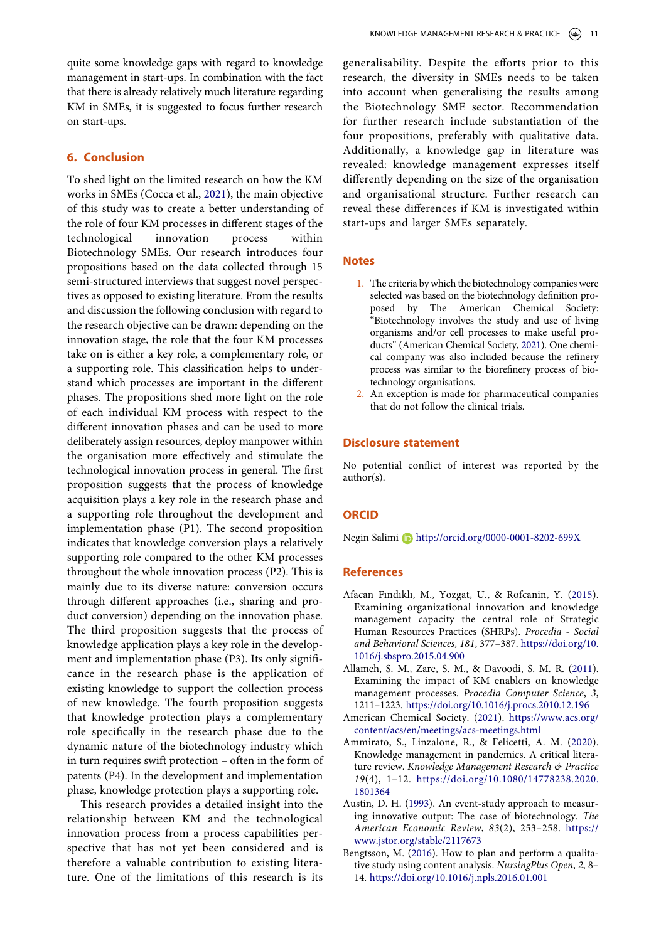quite some knowledge gaps with regard to knowledge management in start-ups. In combination with the fact that there is already relatively much literature regarding KM in SMEs, it is suggested to focus further research on start-ups.

## **6. Conclusion**

<span id="page-11-9"></span>To shed light on the limited research on how the KM works in SMEs (Cocca et al., [2021\)](#page-12-26), the main objective of this study was to create a better understanding of the role of four KM processes in different stages of the technological innovation process within Biotechnology SMEs. Our research introduces four propositions based on the data collected through 15 semi-structured interviews that suggest novel perspectives as opposed to existing literature. From the results and discussion the following conclusion with regard to the research objective can be drawn: depending on the innovation stage, the role that the four KM processes take on is either a key role, a complementary role, or a supporting role. This classification helps to understand which processes are important in the different phases. The propositions shed more light on the role of each individual KM process with respect to the different innovation phases and can be used to more deliberately assign resources, deploy manpower within the organisation more effectively and stimulate the technological innovation process in general. The first proposition suggests that the process of knowledge acquisition plays a key role in the research phase and a supporting role throughout the development and implementation phase (P1). The second proposition indicates that knowledge conversion plays a relatively supporting role compared to the other KM processes throughout the whole innovation process (P2). This is mainly due to its diverse nature: conversion occurs through different approaches (i.e., sharing and product conversion) depending on the innovation phase. The third proposition suggests that the process of knowledge application plays a key role in the development and implementation phase (P3). Its only significance in the research phase is the application of existing knowledge to support the collection process of new knowledge. The fourth proposition suggests that knowledge protection plays a complementary role specifically in the research phase due to the dynamic nature of the biotechnology industry which in turn requires swift protection – often in the form of patents (P4). In the development and implementation phase, knowledge protection plays a supporting role.

This research provides a detailed insight into the relationship between KM and the technological innovation process from a process capabilities perspective that has not yet been considered and is therefore a valuable contribution to existing literature. One of the limitations of this research is its generalisability. Despite the efforts prior to this research, the diversity in SMEs needs to be taken into account when generalising the results among the Biotechnology SME sector. Recommendation for further research include substantiation of the four propositions, preferably with qualitative data. Additionally, a knowledge gap in literature was revealed: knowledge management expresses itself differently depending on the size of the organisation and organisational structure. Further research can reveal these differences if KM is investigated within start-ups and larger SMEs separately.

## **Notes**

- <span id="page-11-3"></span>1. The criteria by which the biotechnology companies were selected was based on the biotechnology definition proposed by The American Chemical Society: "Biotechnology involves the study and use of living organisms and/or cell processes to make useful products" (American Chemical Society, [2021\)](#page-11-7). One chemical company was also included because the refinery process was similar to the biorefinery process of biotechnology organisations.
- <span id="page-11-8"></span><span id="page-11-4"></span>2. An exception is made for pharmaceutical companies that do not follow the clinical trials.

#### **Disclosure statement**

No potential conflict of interest was reported by the author(s).

#### **ORCID**

Negin Salimi D http://orcid.org/0000-0001-8202-699X

#### **References**

- <span id="page-11-1"></span>Afacan Fındıklı, M., Yozgat, U., & Rofcanin, Y. ([2015\)](#page-2-0). Examining organizational innovation and knowledge management capacity the central role of Strategic Human Resources Practices (SHRPs). *Procedia - Social and Behavioral Sciences*, *181*, 377–387. [https://doi.org/10.](https://doi.org/10.1016/j.sbspro.2015.04.900) [1016/j.sbspro.2015.04.900](https://doi.org/10.1016/j.sbspro.2015.04.900)
- <span id="page-11-2"></span>Allameh, S. M., Zare, S. M., & Davoodi, S. M. R. ([2011\)](#page-3-0). Examining the impact of KM enablers on knowledge management processes. *Procedia Computer Science*, *3*, 1211–1223. <https://doi.org/10.1016/j.procs.2010.12.196>
- <span id="page-11-7"></span>American Chemical Society. ([2021](#page-11-8)). [https://www.acs.org/](https://www.acs.org/content/acs/en/meetings/acs-meetings.html) [content/acs/en/meetings/acs-meetings.html](https://www.acs.org/content/acs/en/meetings/acs-meetings.html)
- <span id="page-11-0"></span>Ammirato, S., Linzalone, R., & Felicetti, A. M. ([2020\)](#page-2-1). Knowledge management in pandemics. A critical literature review. *Knowledge Management Research & Practice 19*(4), 1–12. [https://doi.org/10.1080/14778238.2020.](https://doi.org/10.1080/14778238.2020.1801364)  [1801364](https://doi.org/10.1080/14778238.2020.1801364)
- <span id="page-11-6"></span>Austin, D. H. [\(1993\)](#page-10-0). An event-study approach to measuring innovative output: The case of biotechnology. *The American Economic Review*, *83*(2), 253–258. [https://](https://www.jstor.org/stable/2117673)  [www.jstor.org/stable/2117673](https://www.jstor.org/stable/2117673)
- <span id="page-11-5"></span>Bengtsson, M. ([2016](#page-5-0)). How to plan and perform a qualitative study using content analysis. *NursingPlus Open*, *2*, 8– 14. <https://doi.org/10.1016/j.npls.2016.01.001>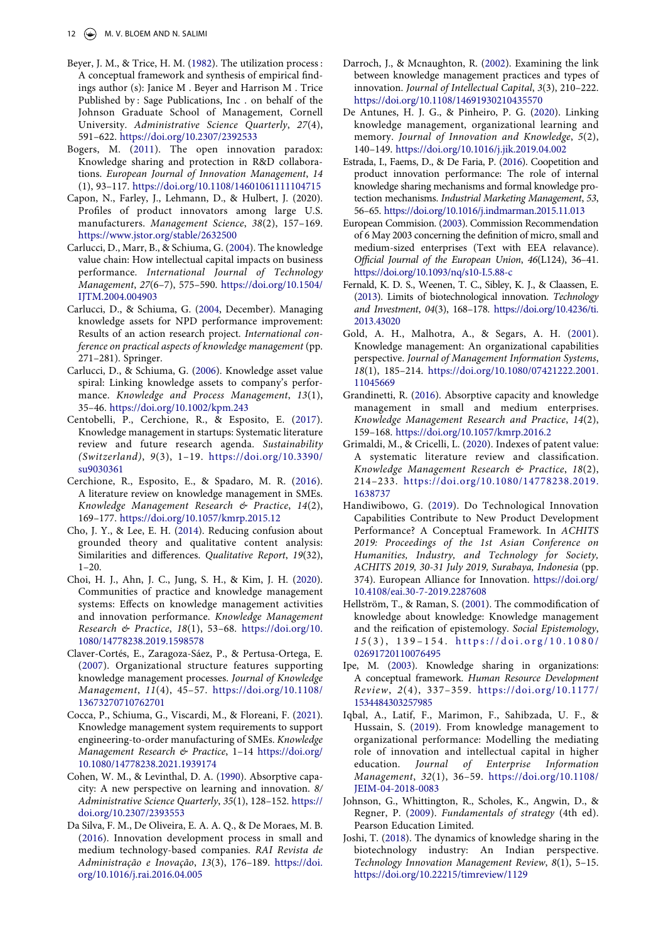- <span id="page-12-15"></span>Beyer, J. M., & Trice, H. M. [\(1982](#page-3-1)). The utilization process : A conceptual framework and synthesis of empirical findings author (s): Janice M . Beyer and Harrison M . Trice Published by : Sage Publications, Inc . on behalf of the Johnson Graduate School of Management, Cornell University. *Administrative Science Quarterly*, *27*(4), 591–622. <https://doi.org/10.2307/2392533>
- <span id="page-12-23"></span>Bogers, M. [\(2011](#page-10-1)). The open innovation paradox: Knowledge sharing and protection in R&D collaborations. *European Journal of Innovation Management*, *14*  (1), 93–117. <https://doi.org/10.1108/14601061111104715>
- Capon, N., Farley, J., Lehmann, D., & Hulbert, J. (2020). Profiles of product innovators among large U.S. manufacturers. *Management Science*, *38*(2), 157–169. <https://www.jstor.org/stable/2632500>
- <span id="page-12-10"></span>Carlucci, D., Marr, B., & Schiuma, G. ([2004](#page-2-2)). The knowledge value chain: How intellectual capital impacts on business performance. *International Journal of Technology Management*, *27*(6–7), 575–590. [https://doi.org/10.1504/](https://doi.org/10.1504/IJTM.2004.004903)  [IJTM.2004.004903](https://doi.org/10.1504/IJTM.2004.004903)
- <span id="page-12-6"></span>Carlucci, D., & Schiuma, G. ([2004,](#page-2-3) December). Managing knowledge assets for NPD performance improvement: Results of an action research project. *International conference on practical aspects of knowledge management* (pp. 271–281). Springer.
- <span id="page-12-9"></span>Carlucci, D., & Schiuma, G. ([2006](#page-2-2)). Knowledge asset value spiral: Linking knowledge assets to company's performance. *Knowledge and Process Management*, *13*(1), 35–46. <https://doi.org/10.1002/kpm.243>
- <span id="page-12-25"></span>Centobelli, P., Cerchione, R., & Esposito, E. [\(2017](#page-10-2)). Knowledge management in startups: Systematic literature review and future research agenda. *Sustainability (Switzerland)*, *9*(3), 1–19. [https://doi.org/10.3390/](https://doi.org/10.3390/su9030361) [su9030361](https://doi.org/10.3390/su9030361)
- <span id="page-12-7"></span>Cerchione, R., Esposito, E., & Spadaro, M. R. [\(2016](#page-2-3)). A literature review on knowledge management in SMEs. *Knowledge Management Research & Practice*, *14*(2), 169–177. <https://doi.org/10.1057/kmrp.2015.12>
- <span id="page-12-19"></span>Cho, J. Y., & Lee, E. H. [\(2014](#page-5-1)). Reducing confusion about grounded theory and qualitative content analysis: Similarities and differences. *Qualitative Report*, *19*(32),  $1 - 20$ .
- <span id="page-12-8"></span>Choi, H. J., Ahn, J. C., Jung, S. H., & Kim, J. H. ([2020](#page-2-4)). Communities of practice and knowledge management systems: Effects on knowledge management activities and innovation performance. *Knowledge Management Research & Practice*, *18*(1), 53–68. [https://doi.org/10.](https://doi.org/10.1080/14778238.2019.1598578)  [1080/14778238.2019.1598578](https://doi.org/10.1080/14778238.2019.1598578)
- <span id="page-12-1"></span>Claver-Cortés, E., Zaragoza-Sáez, P., & Pertusa-Ortega, E. [\(2007](#page-1-0)). Organizational structure features supporting knowledge management processes. *Journal of Knowledge Management*, *11*(4), 45–57. [https://doi.org/10.1108/](https://doi.org/10.1108/13673270710762701)  [13673270710762701](https://doi.org/10.1108/13673270710762701)
- <span id="page-12-26"></span>Cocca, P., Schiuma, G., Viscardi, M., & Floreani, F. ([2021](#page-11-9)). Knowledge management system requirements to support engineering-to-order manufacturing of SMEs. *Knowledge Management Research & Practice*, 1–14 [https://doi.org/](https://doi.org/10.1080/14778238.2021.1939174)  [10.1080/14778238.2021.1939174](https://doi.org/10.1080/14778238.2021.1939174)
- <span id="page-12-14"></span>Cohen, W. M., & Levinthal, D. A. ([1990\)](#page-3-2). Absorptive capacity: A new perspective on learning and innovation. *8/ Administrative Science Quarterly*, *35*(1), 128–152. [https://](https://doi.org/10.2307/2393553)  [doi.org/10.2307/2393553](https://doi.org/10.2307/2393553)
- <span id="page-12-0"></span>Da Silva, F. M., De Oliveira, E. A. A. Q., & De Moraes, M. B. [\(2016\)](#page-1-1). Innovation development process in small and medium technology-based companies. *RAI Revista de Administração e Inovação*, *13*(3), 176–189. [https://doi.](https://doi.org/10.1016/j.rai.2016.04.005)  [org/10.1016/j.rai.2016.04.005](https://doi.org/10.1016/j.rai.2016.04.005)
- <span id="page-12-3"></span>Darroch, J., & Mcnaughton, R. ([2002\)](#page-1-2). Examining the link between knowledge management practices and types of innovation. *Journal of Intellectual Capital*, *3*(3), 210–222. <https://doi.org/10.1108/14691930210435570>
- <span id="page-12-4"></span>De Antunes, H. J. G., & Pinheiro, P. G. [\(2020\)](#page-2-5). Linking knowledge management, organizational learning and memory. *Journal of Innovation and Knowledge*, *5*(2), 140–149. <https://doi.org/10.1016/j.jik.2019.04.002>
- <span id="page-12-17"></span>Estrada, I., Faems, D., & De Faria, P. [\(2016\)](#page-3-3). Coopetition and product innovation performance: The role of internal knowledge sharing mechanisms and formal knowledge protection mechanisms. *Industrial Marketing Management*, *53*, 56–65. <https://doi.org/10.1016/j.indmarman.2015.11.013>
- <span id="page-12-18"></span>European Commision. [\(2003](#page-4-0)). Commission Recommendation of 6 May 2003 concerning the definition of micro, small and medium-sized enterprises (Text with EEA relavance). *Official Journal of the European Union*, *46*(L124), 36–41. <https://doi.org/10.1093/nq/s10-I.5.88-c>
- <span id="page-12-22"></span>Fernald, K. D. S., Weenen, T. C., Sibley, K. J., & Claassen, E. ([2013](#page-10-3)). Limits of biotechnological innovation. *Technology and Investment*, *04*(3), 168–178. [https://doi.org/10.4236/ti.](https://doi.org/10.4236/ti.2013.43020) [2013.43020](https://doi.org/10.4236/ti.2013.43020)
- <span id="page-12-5"></span>Gold, A. H., Malhotra, A., & Segars, A. H. ([2001\)](#page-2-6). Knowledge management: An organizational capabilities perspective. *Journal of Management Information Systems*, *18*(1), 185–214. [https://doi.org/10.1080/07421222.2001.](https://doi.org/10.1080/07421222.2001.11045669) [11045669](https://doi.org/10.1080/07421222.2001.11045669)
- <span id="page-12-20"></span>Grandinetti, R. ([2016](#page-9-0)). Absorptive capacity and knowledge management in small and medium enterprises. *Knowledge Management Research and Practice*, *14*(2), 159–168. <https://doi.org/10.1057/kmrp.2016.2>
- <span id="page-12-21"></span>Grimaldi, M., & Cricelli, L. ([2020\)](#page-10-0). Indexes of patent value: A systematic literature review and classification. *Knowledge Management Research & Practice*, *18*(2), 214–233. [https://doi.org/10.1080/14778238.2019.](https://doi.org/10.1080/14778238.2019.1638737)  [1638737](https://doi.org/10.1080/14778238.2019.1638737)
- <span id="page-12-2"></span>Handiwibowo, G. ([2019\)](#page-1-3). Do Technological Innovation Capabilities Contribute to New Product Development Performance? A Conceptual Framework. In *ACHITS 2019: Proceedings of the 1st Asian Conference on Humanities, Industry, and Technology for Society, ACHITS 2019, 30-31 July 2019, Surabaya, Indonesia* (pp. 374). European Alliance for Innovation. [https://doi.org/](https://doi.org/10.4108/eai.30-7-2019.2287608) [10.4108/eai.30-7-2019.2287608](https://doi.org/10.4108/eai.30-7-2019.2287608)
- <span id="page-12-16"></span>Hellström, T., & Raman, S. [\(2001](#page-3-1)). The commodification of knowledge about knowledge: Knowledge management and the reification of epistemology. *Social Epistemology*, *1 5* (3), 139–154. [https://doi.org/10.1080/](https://doi.org/10.1080/02691720110076495)  [02691720110076495](https://doi.org/10.1080/02691720110076495)
- <span id="page-12-13"></span>Ipe, M. ([2003\)](#page-2-7). Knowledge sharing in organizations: A conceptual framework. *Human Resource Development Review*, *2*(4), 337–359. [https://doi.org/10.1177/](https://doi.org/10.1177/1534484303257985)  [1534484303257985](https://doi.org/10.1177/1534484303257985)
- <span id="page-12-12"></span>Iqbal, A., Latif, F., Marimon, F., Sahibzada, U. F., & Hussain, S. [\(2019\)](#page-2-5). From knowledge management to organizational performance: Modelling the mediating role of innovation and intellectual capital in higher education. *Journal of Enterprise Information Management*, *32*(1), 36–59. [https://doi.org/10.1108/](https://doi.org/10.1108/JEIM-04-2018-0083)  [JEIM-04-2018-0083](https://doi.org/10.1108/JEIM-04-2018-0083)
- <span id="page-12-11"></span>Johnson, G., Whittington, R., Scholes, K., Angwin, D., & Regner, P. [\(2009\)](#page-2-8). *Fundamentals of strategy* (4th ed). Pearson Education Limited.
- <span id="page-12-24"></span>Joshi, T. [\(2018\)](#page-10-4). The dynamics of knowledge sharing in the biotechnology industry: An Indian perspective. *Technology Innovation Management Review*, *8*(1), 5–15. <https://doi.org/10.22215/timreview/1129>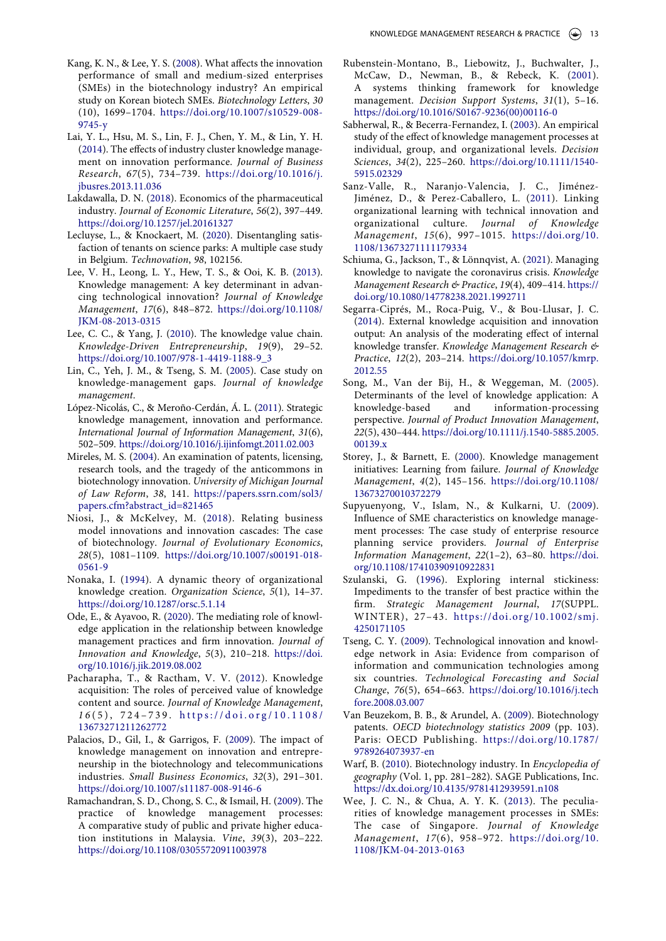- <span id="page-13-20"></span>Kang, K. N., & Lee, Y. S. [\(2008\)](#page-4-1). What affects the innovation performance of small and medium-sized enterprises (SMEs) in the biotechnology industry? An empirical study on Korean biotech SMEs. *Biotechnology Letters*, *30*  (10), 1699–1704. [https://doi.org/10.1007/s10529-008-](https://doi.org/10.1007/s10529-008-9745-y)  [9745-y](https://doi.org/10.1007/s10529-008-9745-y)
- <span id="page-13-7"></span>Lai, Y. L., Hsu, M. S., Lin, F. J., Chen, Y. M., & Lin, Y. H. [\(2014\)](#page-1-4). The effects of industry cluster knowledge management on innovation performance. *Journal of Business Research*, *67*(5), 734–739. [https://doi.org/10.1016/j.](https://doi.org/10.1016/j.jbusres.2013.11.036) [jbusres.2013.11.036](https://doi.org/10.1016/j.jbusres.2013.11.036)
- <span id="page-13-19"></span>Lakdawalla, D. N. [\(2018](#page-4-2)). Economics of the pharmaceutical industry. *Journal of Economic Literature*, *56*(2), 397–449. <https://doi.org/10.1257/jel.20161327>
- <span id="page-13-21"></span>Lecluyse, L., & Knockaert, M. [\(2020\)](#page-5-2). Disentangling satisfaction of tenants on science parks: A multiple case study in Belgium. *Technovation*, *98*, 102156.
- <span id="page-13-1"></span>Lee, V. H., Leong, L. Y., Hew, T. S., & Ooi, K. B. ([2013](#page-1-5)). Knowledge management: A key determinant in advancing technological innovation? *Journal of Knowledge Management*, *17*(6), 848–872. [https://doi.org/10.1108/](https://doi.org/10.1108/JKM-08-2013-0315)  [JKM-08-2013-0315](https://doi.org/10.1108/JKM-08-2013-0315)
- <span id="page-13-26"></span>Lee, C. C., & Yang, J. [\(2010](#page-10-5)). The knowledge value chain. *Knowledge-Driven Entrepreneurship*, *19*(9), 29–52. [https://doi.org/10.1007/978-1-4419-1188-9\\_3](https://doi.org/10.1007/978-1-4419-1188-9_3)
- <span id="page-13-17"></span>Lin, C., Yeh, J. M., & Tseng, S. M. [\(2005\)](#page-4-3). Case study on knowledge-management gaps. *Journal of knowledge management*.
- <span id="page-13-6"></span>López-Nicolás, C., & Meroño-Cerdán, Á. L. ([2011](#page-1-6)). Strategic knowledge management, innovation and performance. *International Journal of Information Management*, *31*(6), 502–509. <https://doi.org/10.1016/j.ijinfomgt.2011.02.003>
- <span id="page-13-25"></span>Mireles, M. S. ([2004](#page-10-6)). An examination of patents, licensing, research tools, and the tragedy of the anticommons in biotechnology innovation. *University of Michigan Journal of Law Reform*, *38*, 141. [https://papers.ssrn.com/sol3/](https://papers.ssrn.com/sol3/papers.cfm?abstract_id=821465)  [papers.cfm?abstract\\_id=821465](https://papers.ssrn.com/sol3/papers.cfm?abstract_id=821465)
- <span id="page-13-24"></span>Niosi, J., & McKelvey, M. ([2018](#page-10-7)). Relating business model innovations and innovation cascades: The case of biotechnology. *Journal of Evolutionary Economics*, *28*(5), 1081–1109. [https://doi.org/10.1007/s00191-018-](https://doi.org/10.1007/s00191-018-0561-9)  [0561-9](https://doi.org/10.1007/s00191-018-0561-9)
- <span id="page-13-14"></span>Nonaka, I. [\(1994\)](#page-3-4). A dynamic theory of organizational knowledge creation. *Organization Science*, *5*(1), 14–37. <https://doi.org/10.1287/orsc.5.1.14>
- <span id="page-13-2"></span>Ode, E., & Ayavoo, R. ([2020\)](#page-1-7). The mediating role of knowledge application in the relationship between knowledge management practices and firm innovation. *Journal of Innovation and Knowledge*, *5*(3), 210–218. [https://doi.](https://doi.org/10.1016/j.jik.2019.08.002)  [org/10.1016/j.jik.2019.08.002](https://doi.org/10.1016/j.jik.2019.08.002)
- <span id="page-13-23"></span>Pacharapha, T., & Ractham, V. V. [\(2012](#page-8-1)). Knowledge acquisition: The roles of perceived value of knowledge content and source. *Journal of Knowledge Management*, *1 6* (5), 724–739. [https://doi.org/10.1108/](https://doi.org/10.1108/13673271211262772) [13673271211262772](https://doi.org/10.1108/13673271211262772)
- <span id="page-13-3"></span>Palacios, D., Gil, I., & Garrigos, F. ([2009](#page-1-7)). The impact of knowledge management on innovation and entrepreneurship in the biotechnology and telecommunications industries. *Small Business Economics*, *32*(3), 291–301. <https://doi.org/10.1007/s11187-008-9146-6>
- <span id="page-13-9"></span>Ramachandran, S. D., Chong, S. C., & Ismail, H. ([2009](#page-2-9)). The practice of knowledge management processes: A comparative study of public and private higher education institutions in Malaysia. *Vine*, *39*(3), 203–222. <https://doi.org/10.1108/03055720911003978>
- <span id="page-13-4"></span>Rubenstein-Montano, B., Liebowitz, J., Buchwalter, J., McCaw, D., Newman, B., & Rebeck, K. ([2001\)](#page-1-8). A systems thinking framework for knowledge management. *Decision Support Systems*, *31*(1), 5–16. [https://doi.org/10.1016/S0167-9236\(00\)00116-0](https://doi.org/10.1016/S0167-9236(00)00116-0)
- <span id="page-13-16"></span>Sabherwal, R., & Becerra-Fernandez, I. [\(2003\)](#page-4-4). An empirical study of the effect of knowledge management processes at individual, group, and organizational levels. *Decision Sciences*, *34*(2), 225–260. [https://doi.org/10.1111/1540-](https://doi.org/10.1111/1540-5915.02329) [5915.02329](https://doi.org/10.1111/1540-5915.02329)
- <span id="page-13-11"></span>Sanz-Valle, R., Naranjo-Valencia, J. C., Jiménez-Jiménez, D., & Perez-Caballero, L. ([2011](#page-2-7)). Linking organizational learning with technical innovation and organizational culture. *Journal of Knowledge Management*, *15*(6), 997–1015. [https://doi.org/10.](https://doi.org/10.1108/13673271111179334)  [1108/13673271111179334](https://doi.org/10.1108/13673271111179334)
- <span id="page-13-10"></span>Schiuma, G., Jackson, T., & Lönnqvist, A. ([2021\)](#page-2-10). Managing knowledge to navigate the coronavirus crisis. *Knowledge Management Research & Practice*, *19*(4), 409–414. [https://](https://doi.org/10.1080/14778238.2021.1992711) [doi.org/10.1080/14778238.2021.1992711](https://doi.org/10.1080/14778238.2021.1992711)
- <span id="page-13-22"></span>Segarra-Ciprés, M., Roca-Puig, V., & Bou-Llusar, J. C. ([2014](#page-8-2)). External knowledge acquisition and innovation output: An analysis of the moderating effect of internal knowledge transfer. *Knowledge Management Research & Practice*, *12*(2), 203–214. [https://doi.org/10.1057/kmrp.](https://doi.org/10.1057/kmrp.2012.55) [2012.55](https://doi.org/10.1057/kmrp.2012.55)
- <span id="page-13-15"></span>Song, M., Van der Bij, H., & Weggeman, M. ([2005\)](#page-3-5). Determinants of the level of knowledge application: A knowledge-based and information-processing perspective. *Journal of Product Innovation Management*, *22*(5), 430–444. [https://doi.org/10.1111/j.1540-5885.2005.](https://doi.org/10.1111/j.1540-5885.2005.00139.x) [00139.x](https://doi.org/10.1111/j.1540-5885.2005.00139.x)
- <span id="page-13-5"></span>Storey, J., & Barnett, E. ([2000](#page-1-9)). Knowledge management initiatives: Learning from failure. *Journal of Knowledge Management*, *4*(2), 145–156. [https://doi.org/10.1108/](https://doi.org/10.1108/13673270010372279)  [13673270010372279](https://doi.org/10.1108/13673270010372279)
- <span id="page-13-27"></span>Supyuenyong, V., Islam, N., & Kulkarni, U. ([2009\)](#page-10-8). Influence of SME characteristics on knowledge management processes: The case study of enterprise resource planning service providers. *Journal of Enterprise Information Management*, *22*(1–2), 63–80. [https://doi.](https://doi.org/10.1108/17410390910922831) [org/10.1108/17410390910922831](https://doi.org/10.1108/17410390910922831)
- <span id="page-13-12"></span>Szulanski, G. ([1996](#page-2-11)). Exploring internal stickiness: Impediments to the transfer of best practice within the firm. *Strategic Management Journal*, *17*(SUPPL. WINTER), 27–43. [https://doi.org/10.1002/smj.](https://doi.org/10.1002/smj.4250171105) [4250171105](https://doi.org/10.1002/smj.4250171105)
- <span id="page-13-8"></span>Tseng, C. Y. ([2009\)](#page-2-12). Technological innovation and knowledge network in Asia: Evidence from comparison of information and communication technologies among six countries. *Technological Forecasting and Social Change*, *76*(5), 654–663. [https://doi.org/10.1016/j.tech](https://doi.org/10.1016/j.techfore.2008.03.007) [fore.2008.03.007](https://doi.org/10.1016/j.techfore.2008.03.007)
- <span id="page-13-18"></span>Van Beuzekom, B. B., & Arundel, A. ([2009](#page-4-5)). Biotechnology patents. *OECD biotechnology statistics 2009* (pp. 103). Paris: OECD Publishing. [https://doi.org/10.1787/](https://doi.org/10.1787/9789264073937-en)  [9789264073937-en](https://doi.org/10.1787/9789264073937-en)
- <span id="page-13-0"></span>Warf, B. ([2010\)](#page-1-10). Biotechnology industry. In *Encyclopedia of geography* (Vol. 1, pp. 281–282). SAGE Publications, Inc. <https://dx.doi.org/10.4135/9781412939591.n108>
- <span id="page-13-13"></span>Wee, J. C. N., & Chua, A. Y. K. ([2013](#page-3-6)). The peculiarities of knowledge management processes in SMEs: The case of Singapore. *Journal of Knowledge Management*, *17*(6), 958–972. [https://doi.org/10.](https://doi.org/10.1108/JKM-04-2013-0163)  [1108/JKM-04-2013-0163](https://doi.org/10.1108/JKM-04-2013-0163)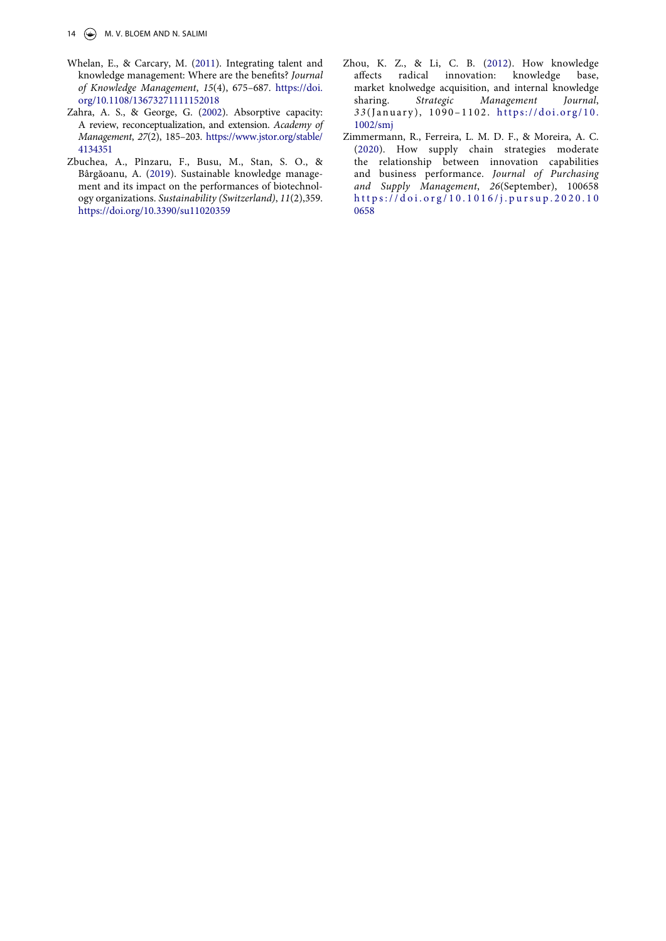- <span id="page-14-3"></span>Whelan, E., & Carcary, M. ([2011\)](#page-4-6). Integrating talent and knowledge management: Where are the benefits? *Journal of Knowledge Management*, *15*(4), 675–687. [https://doi.](https://doi.org/10.1108/13673271111152018)  [org/10.1108/13673271111152018](https://doi.org/10.1108/13673271111152018)
- <span id="page-14-2"></span>Zahra, A. S., & George, G. ([2002\)](#page-3-7). Absorptive capacity: A review, reconceptualization, and extension. *Academy of Management*, *27*(2), 185–203. [https://www.jstor.org/stable/](https://www.jstor.org/stable/4134351) [4134351](https://www.jstor.org/stable/4134351)
- <span id="page-14-0"></span>Zbuchea, A., Pînzaru, F., Busu, M., Stan, S. O., & Bârgăoanu, A. ([2019](#page-1-11)). Sustainable knowledge management and its impact on the performances of biotechnology organizations. *Sustainability (Switzerland)*, *11*(2),359. <https://doi.org/10.3390/su11020359>
- <span id="page-14-1"></span>Zhou, K. Z., & Li, C. B. [\(2012](#page-2-12)). How knowledge affects radical innovation: knowledge base, market knolwedge acquisition, and internal knowledge sharing. *Strategic Management Journal*, *3 3* (January), 1090–1102. [https://doi.org/10.](https://doi.org/10.1002/smj) [1002/smj](https://doi.org/10.1002/smj)
- <span id="page-14-4"></span>Zimmermann, R., Ferreira, L. M. D. F., & Moreira, A. C. ([2020\)](#page-4-7). How supply chain strategies moderate the relationship between innovation capabilities and business performance. *Journal of Purchasing and Supply Management*, *26*(September), 100658 [https://doi.org/10.1016/j.pursup.2020.10](https://doi.org/10.1016/j.pursup.2020.100658)  [0658](https://doi.org/10.1016/j.pursup.2020.100658)